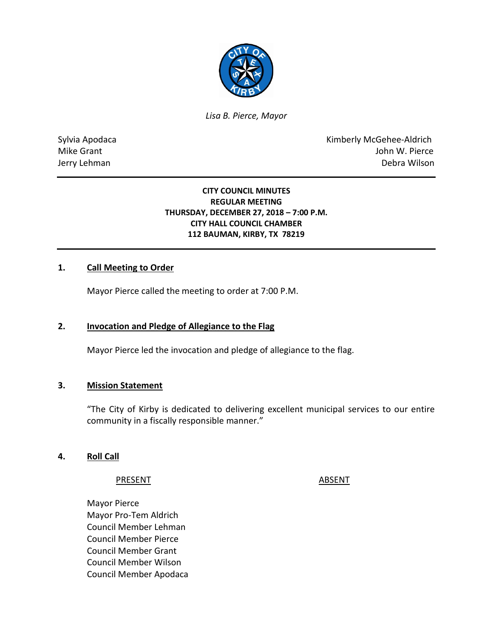

*Lisa B. Pierce, Mayor* 

Sylvia Apodaca **Kimberly McGehee-Aldrich** Mike Grant **Mike Grant** John W. Pierce Jerry Lehman Debra Wilson

## **CITY COUNCIL MINUTES REGULAR MEETING THURSDAY, DECEMBER 27, 2018 – 7:00 P.M. CITY HALL COUNCIL CHAMBER 112 BAUMAN, KIRBY, TX 78219**

# **1. Call Meeting to Order**

Mayor Pierce called the meeting to order at 7:00 P.M.

## **2. Invocation and Pledge of Allegiance to the Flag**

Mayor Pierce led the invocation and pledge of allegiance to the flag.

## **3. Mission Statement**

"The City of Kirby is dedicated to delivering excellent municipal services to our entire community in a fiscally responsible manner."

## **4. Roll Call**

PRESENT ABSENT

Mayor Pierce Mayor Pro-Tem Aldrich Council Member Lehman Council Member Pierce Council Member Grant Council Member Wilson Council Member Apodaca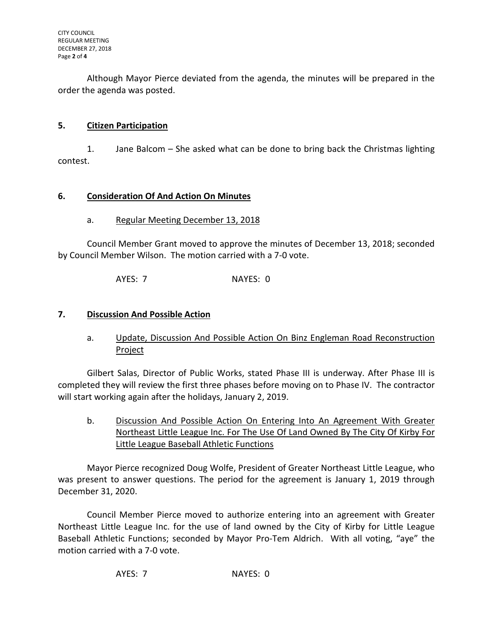Although Mayor Pierce deviated from the agenda, the minutes will be prepared in the order the agenda was posted.

# **5. Citizen Participation**

1. Jane Balcom – She asked what can be done to bring back the Christmas lighting contest.

# **6. Consideration Of And Action On Minutes**

# a. Regular Meeting December 13, 2018

Council Member Grant moved to approve the minutes of December 13, 2018; seconded by Council Member Wilson. The motion carried with a 7-0 vote.

AYES: 7 NAYES: 0

# **7. Discussion And Possible Action**

a. Update, Discussion And Possible Action On Binz Engleman Road Reconstruction **Project** 

Gilbert Salas, Director of Public Works, stated Phase III is underway. After Phase III is completed they will review the first three phases before moving on to Phase IV. The contractor will start working again after the holidays, January 2, 2019.

b. Discussion And Possible Action On Entering Into An Agreement With Greater Northeast Little League Inc. For The Use Of Land Owned By The City Of Kirby For Little League Baseball Athletic Functions

Mayor Pierce recognized Doug Wolfe, President of Greater Northeast Little League, who was present to answer questions. The period for the agreement is January 1, 2019 through December 31, 2020.

Council Member Pierce moved to authorize entering into an agreement with Greater Northeast Little League Inc. for the use of land owned by the City of Kirby for Little League Baseball Athletic Functions; seconded by Mayor Pro-Tem Aldrich. With all voting, "aye" the motion carried with a 7-0 vote.

AYES: 7 NAYES: 0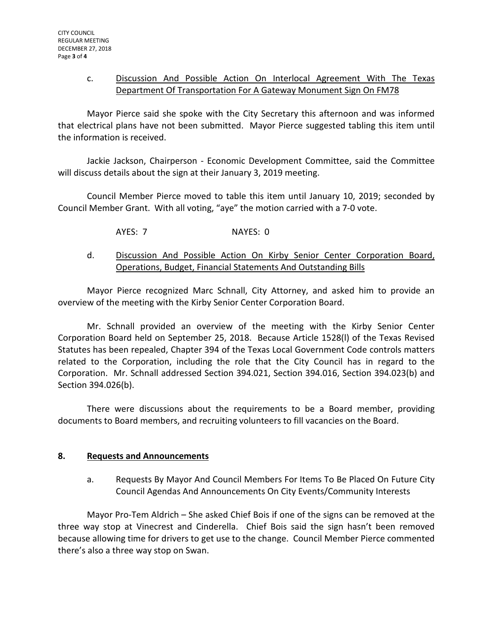## c. Discussion And Possible Action On Interlocal Agreement With The Texas Department Of Transportation For A Gateway Monument Sign On FM78

Mayor Pierce said she spoke with the City Secretary this afternoon and was informed that electrical plans have not been submitted. Mayor Pierce suggested tabling this item until the information is received.

Jackie Jackson, Chairperson - Economic Development Committee, said the Committee will discuss details about the sign at their January 3, 2019 meeting.

Council Member Pierce moved to table this item until January 10, 2019; seconded by Council Member Grant. With all voting, "aye" the motion carried with a 7-0 vote.

AYES: 7 NAYES: 0

# d. Discussion And Possible Action On Kirby Senior Center Corporation Board, Operations, Budget, Financial Statements And Outstanding Bills

Mayor Pierce recognized Marc Schnall, City Attorney, and asked him to provide an overview of the meeting with the Kirby Senior Center Corporation Board.

Mr. Schnall provided an overview of the meeting with the Kirby Senior Center Corporation Board held on September 25, 2018. Because Article 1528(l) of the Texas Revised Statutes has been repealed, Chapter 394 of the Texas Local Government Code controls matters related to the Corporation, including the role that the City Council has in regard to the Corporation. Mr. Schnall addressed Section 394.021, Section 394.016, Section 394.023(b) and Section 394.026(b).

There were discussions about the requirements to be a Board member, providing documents to Board members, and recruiting volunteers to fill vacancies on the Board.

## **8. Requests and Announcements**

a. Requests By Mayor And Council Members For Items To Be Placed On Future City Council Agendas And Announcements On City Events/Community Interests

Mayor Pro-Tem Aldrich – She asked Chief Bois if one of the signs can be removed at the three way stop at Vinecrest and Cinderella. Chief Bois said the sign hasn't been removed because allowing time for drivers to get use to the change. Council Member Pierce commented there's also a three way stop on Swan.